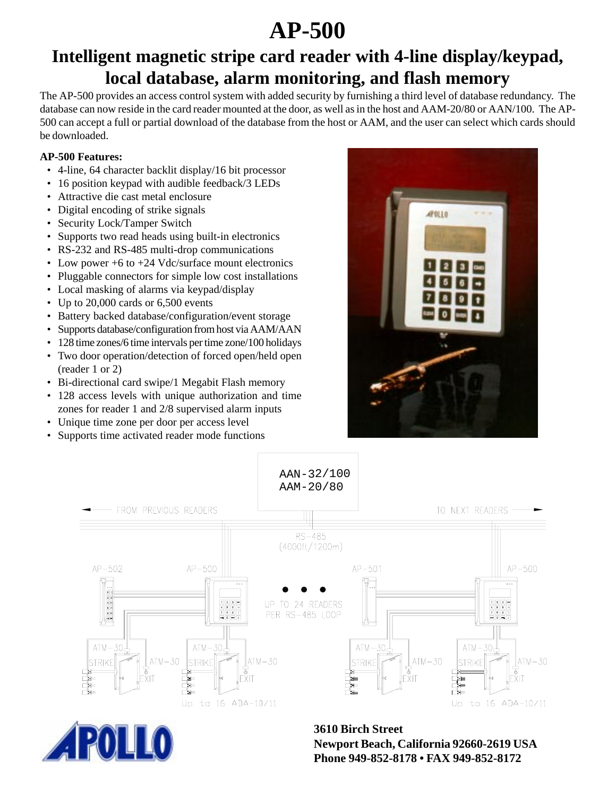# **AP-500**

## **Intelligent magnetic stripe card reader with 4-line display/keypad, local database, alarm monitoring, and flash memory**

The AP-500 provides an access control system with added security by furnishing a third level of database redundancy. The database can now reside in the card reader mounted at the door, as well as in the host and AAM-20/80 or AAN/100. The AP-500 can accept a full or partial download of the database from the host or AAM, and the user can select which cards should be downloaded.

### **AP-500 Features:**

- 4-line, 64 character backlit display/16 bit processor
- 16 position keypad with audible feedback/3 LEDs
- Attractive die cast metal enclosure
- Digital encoding of strike signals
- Security Lock/Tamper Switch
- Supports two read heads using built-in electronics
- RS-232 and RS-485 multi-drop communications
- Low power +6 to +24 Vdc/surface mount electronics
- Pluggable connectors for simple low cost installations
- Local masking of alarms via keypad/display
- Up to 20,000 cards or 6,500 events
- Battery backed database/configuration/event storage
- Supports database/configuration from host via AAM/AAN
- 128 time zones/6 time intervals per time zone/100 holidays
- Two door operation/detection of forced open/held open (reader 1 or 2)
- Bi-directional card swipe/1 Megabit Flash memory
- 128 access levels with unique authorization and time zones for reader 1 and 2/8 supervised alarm inputs
- Unique time zone per door per access level
- Supports time activated reader mode functions





Newport Beach, California 92660-2619 USA<br>Phone 949-852-8178 • FAX 949-852-8172 **3610 Birch Street Phone 949-852-8178 • FAX 949-852-8172**